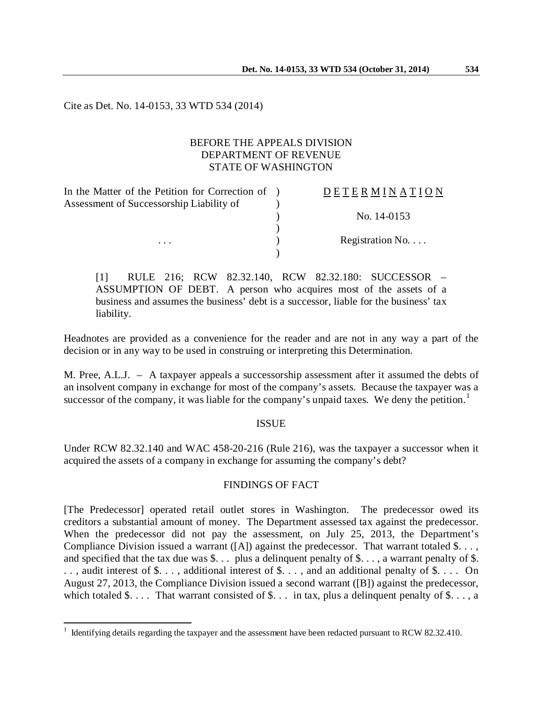Cite as Det. No. 14-0153, 33 WTD 534 (2014)

## BEFORE THE APPEALS DIVISION DEPARTMENT OF REVENUE STATE OF WASHINGTON

| In the Matter of the Petition for Correction of | <b>DETERMINATION</b>     |
|-------------------------------------------------|--------------------------|
| Assessment of Successorship Liability of        |                          |
|                                                 | No. 14-0153              |
|                                                 |                          |
| $\cdots$                                        | Registration No. $\dots$ |
|                                                 |                          |

[1] RULE 216; RCW 82.32.140, RCW 82.32.180: SUCCESSOR – ASSUMPTION OF DEBT. A person who acquires most of the assets of a business and assumes the business' debt is a successor, liable for the business' tax liability.

Headnotes are provided as a convenience for the reader and are not in any way a part of the decision or in any way to be used in construing or interpreting this Determination.

M. Pree, A.L.J. – A taxpayer appeals a successorship assessment after it assumed the debts of an insolvent company in exchange for most of the company's assets. Because the taxpayer was a successor of the company, it was liable for the company's unpaid taxes. We deny the petition.<sup>[1](#page-0-0)</sup>

### ISSUE

Under RCW 82.32.140 and WAC 458-20-216 (Rule 216), was the taxpayer a successor when it acquired the assets of a company in exchange for assuming the company's debt?

### FINDINGS OF FACT

[The Predecessor] operated retail outlet stores in Washington. The predecessor owed its creditors a substantial amount of money. The Department assessed tax against the predecessor. When the predecessor did not pay the assessment, on July 25, 2013, the Department's Compliance Division issued a warrant  $([A])$  against the predecessor. That warrant totaled \$... and specified that the tax due was \$. . . plus a delinquent penalty of \$. . . , a warrant penalty of \$. .., audit interest of \$..., additional interest of \$..., and an additional penalty of \$.... On August 27, 2013, the Compliance Division issued a second warrant ([B]) against the predecessor, which totaled  $\$\dots$  That warrant consisted of  $\$\dots$  in tax, plus a delinguent penalty of  $\$\dots$ , a

 $\overline{a}$ 

<span id="page-0-0"></span> $1$  Identifying details regarding the taxpayer and the assessment have been redacted pursuant to RCW 82.32.410.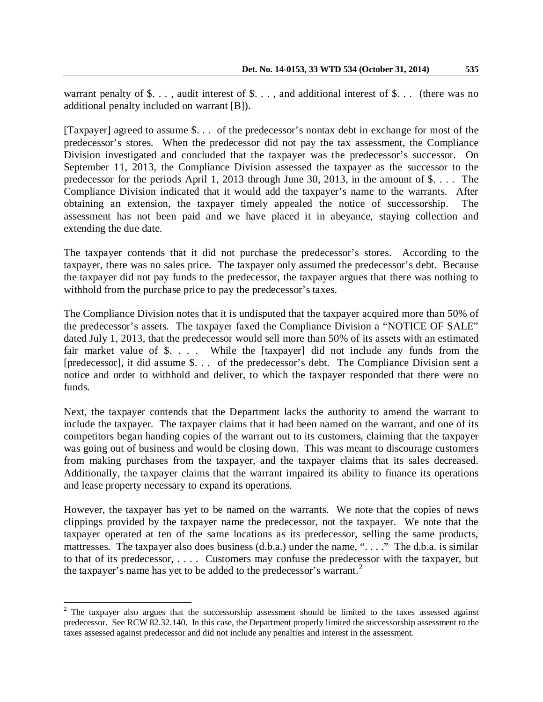warrant penalty of  $\$\ldots\]$ , audit interest of  $\$\ldots\]$ , and additional interest of  $\$\ldots\]$  (there was no additional penalty included on warrant [B]).

[Taxpayer] agreed to assume \$. . . of the predecessor's nontax debt in exchange for most of the predecessor's stores. When the predecessor did not pay the tax assessment, the Compliance Division investigated and concluded that the taxpayer was the predecessor's successor. On September 11, 2013, the Compliance Division assessed the taxpayer as the successor to the predecessor for the periods April 1, 2013 through June 30, 2013, in the amount of \$. . . . The Compliance Division indicated that it would add the taxpayer's name to the warrants. After obtaining an extension, the taxpayer timely appealed the notice of successorship. The assessment has not been paid and we have placed it in abeyance, staying collection and extending the due date.

The taxpayer contends that it did not purchase the predecessor's stores. According to the taxpayer, there was no sales price. The taxpayer only assumed the predecessor's debt. Because the taxpayer did not pay funds to the predecessor, the taxpayer argues that there was nothing to withhold from the purchase price to pay the predecessor's taxes.

The Compliance Division notes that it is undisputed that the taxpayer acquired more than 50% of the predecessor's assets. The taxpayer faxed the Compliance Division a "NOTICE OF SALE" dated July 1, 2013, that the predecessor would sell more than 50% of its assets with an estimated fair market value of \$. . . . While the [taxpayer] did not include any funds from the [predecessor], it did assume \$. . . of the predecessor's debt. The Compliance Division sent a notice and order to withhold and deliver, to which the taxpayer responded that there were no funds.

Next, the taxpayer contends that the Department lacks the authority to amend the warrant to include the taxpayer. The taxpayer claims that it had been named on the warrant, and one of its competitors began handing copies of the warrant out to its customers, claiming that the taxpayer was going out of business and would be closing down. This was meant to discourage customers from making purchases from the taxpayer, and the taxpayer claims that its sales decreased. Additionally, the taxpayer claims that the warrant impaired its ability to finance its operations and lease property necessary to expand its operations.

However, the taxpayer has yet to be named on the warrants. We note that the copies of news clippings provided by the taxpayer name the predecessor, not the taxpayer. We note that the taxpayer operated at ten of the same locations as its predecessor, selling the same products, mattresses. The taxpayer also does business (d.b.a.) under the name, "...." The d.b.a. is similar to that of its predecessor, . . . . Customers may confuse the predecessor with the taxpayer, but the taxpayer's name has yet to be added to the predecessor's warrant.<sup>[2](#page-1-0)</sup>

<span id="page-1-0"></span> $2$  The taxpayer also argues that the successorship assessment should be limited to the taxes assessed against predecessor. See RCW 82.32.140. In this case, the Department properly limited the successorship assessment to the taxes assessed against predecessor and did not include any penalties and interest in the assessment.  $\overline{\phantom{a}}$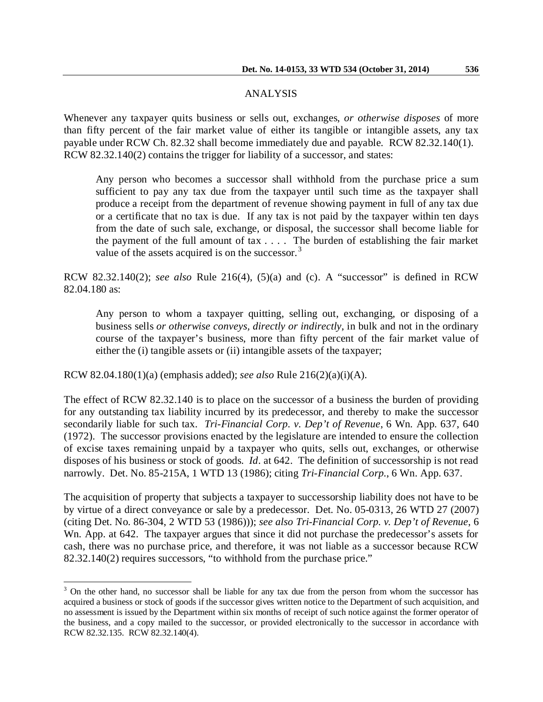#### ANALYSIS

Whenever any taxpayer quits business or sells out, exchanges, *or otherwise disposes* of more than fifty percent of the fair market value of either its tangible or intangible assets, any tax payable under RCW Ch. 82.32 shall become immediately due and payable. RCW 82.32.140(1). RCW 82.32.140(2) contains the trigger for liability of a successor, and states:

Any person who becomes a successor shall withhold from the purchase price a sum sufficient to pay any tax due from the taxpayer until such time as the taxpayer shall produce a receipt from the department of revenue showing payment in full of any tax due or a certificate that no tax is due. If any tax is not paid by the taxpayer within ten days from the date of such sale, exchange, or disposal, the successor shall become liable for the payment of the full amount of tax . . . . The burden of establishing the fair market value of the assets acquired is on the successor. $3$ 

RCW 82.32.140(2); *see also* Rule 216(4), (5)(a) and (c). A "successor" is defined in RCW 82.04.180 as:

Any person to whom a taxpayer quitting, selling out, exchanging, or disposing of a business sells *or otherwise conveys, directly or indirectly*, in bulk and not in the ordinary course of the taxpayer's business, more than fifty percent of the fair market value of either the (i) tangible assets or (ii) intangible assets of the taxpayer;

RCW 82.04.180(1)(a) (emphasis added); *see also* Rule 216(2)(a)(i)(A).

 $\overline{a}$ 

The effect of RCW 82.32.140 is to place on the successor of a business the burden of providing for any outstanding tax liability incurred by its predecessor, and thereby to make the successor secondarily liable for such tax. *Tri-Financial Corp. v. Dep't of Revenue*, 6 Wn. App. 637, 640 (1972). The successor provisions enacted by the legislature are intended to ensure the collection of excise taxes remaining unpaid by a taxpayer who quits, sells out, exchanges, or otherwise disposes of his business or stock of goods. *Id*. at 642. The definition of successorship is not read narrowly. Det. No. 85-215A, 1 WTD 13 (1986); citing *Tri-Financial Corp.*, 6 Wn. App. 637.

The acquisition of property that subjects a taxpayer to successorship liability does not have to be by virtue of a direct conveyance or sale by a predecessor. Det. No. 05-0313, 26 WTD 27 (2007) (citing Det. No. 86-304, 2 WTD 53 (1986))); *see also Tri-Financial Corp. v. Dep't of Revenue*, 6 Wn. App. at 642. The taxpayer argues that since it did not purchase the predecessor's assets for cash, there was no purchase price, and therefore, it was not liable as a successor because RCW 82.32.140(2) requires successors, "to withhold from the purchase price."

<span id="page-2-0"></span><sup>&</sup>lt;sup>3</sup> On the other hand, no successor shall be liable for any tax due from the person from whom the successor has acquired a business or stock of goods if the successor gives written notice to the Department of such acquisition, and no assessment is issued by the Department within six months of receipt of such notice against the former operator of the business, and a copy mailed to the successor, or provided electronically to the successor in accordance with RCW 82.32.135. RCW 82.32.140(4).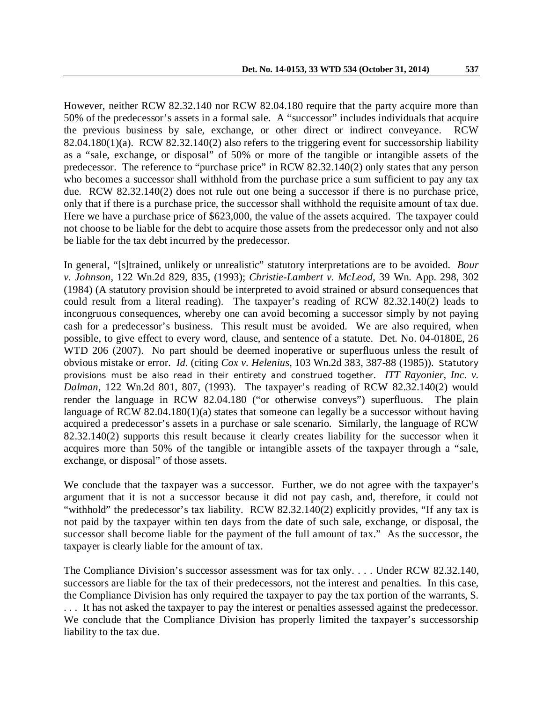However, neither RCW 82.32.140 nor RCW 82.04.180 require that the party acquire more than 50% of the predecessor's assets in a formal sale. A "successor" includes individuals that acquire the previous business by sale, exchange, or other direct or indirect conveyance. RCW 82.04.180(1)(a). RCW 82.32.140(2) also refers to the triggering event for successorship liability as a "sale, exchange, or disposal" of 50% or more of the tangible or intangible assets of the predecessor. The reference to "purchase price" in RCW 82.32.140(2) only states that any person who becomes a successor shall withhold from the purchase price a sum sufficient to pay any tax due. RCW 82.32.140(2) does not rule out one being a successor if there is no purchase price, only that if there is a purchase price, the successor shall withhold the requisite amount of tax due. Here we have a purchase price of \$623,000, the value of the assets acquired. The taxpayer could not choose to be liable for the debt to acquire those assets from the predecessor only and not also be liable for the tax debt incurred by the predecessor.

In general, "[s]trained, unlikely or unrealistic" statutory interpretations are to be avoided. *Bour v. Johnson*, 122 Wn.2d 829, 835, (1993); *Christie-Lambert v. McLeod*, 39 Wn. App. 298, 302 (1984) (A statutory provision should be interpreted to avoid strained or absurd consequences that could result from a literal reading). The taxpayer's reading of RCW 82.32.140(2) leads to incongruous consequences, whereby one can avoid becoming a successor simply by not paying cash for a predecessor's business. This result must be avoided. We are also required, when possible, to give effect to every word, clause, and sentence of a statute. Det. No. 04-0180E, 26 WTD 206 (2007). No part should be deemed inoperative or superfluous unless the result of obvious mistake or error. *Id*. (citing *Cox v. Helenius*, 103 Wn.2d 383, 387-88 (1985)). Statutory provisions must be also read in their entirety and construed together. *ITT Rayonier, Inc. v. Dalman*, 122 Wn.2d 801, 807, (1993). The taxpayer's reading of RCW 82.32.140(2) would render the language in RCW 82.04.180 ("or otherwise conveys") superfluous. The plain language of RCW 82.04.180(1)(a) states that someone can legally be a successor without having acquired a predecessor's assets in a purchase or sale scenario. Similarly, the language of RCW 82.32.140(2) supports this result because it clearly creates liability for the successor when it acquires more than 50% of the tangible or intangible assets of the taxpayer through a "sale, exchange, or disposal" of those assets.

We conclude that the taxpayer was a successor. Further, we do not agree with the taxpayer's argument that it is not a successor because it did not pay cash, and, therefore, it could not "withhold" the predecessor's tax liability. RCW 82.32.140(2) explicitly provides, "If any tax is not paid by the taxpayer within ten days from the date of such sale, exchange, or disposal, the successor shall become liable for the payment of the full amount of tax." As the successor, the taxpayer is clearly liable for the amount of tax.

The Compliance Division's successor assessment was for tax only. . . . Under RCW 82.32.140, successors are liable for the tax of their predecessors, not the interest and penalties. In this case, the Compliance Division has only required the taxpayer to pay the tax portion of the warrants, \$. . . . It has not asked the taxpayer to pay the interest or penalties assessed against the predecessor. We conclude that the Compliance Division has properly limited the taxpayer's successorship liability to the tax due.